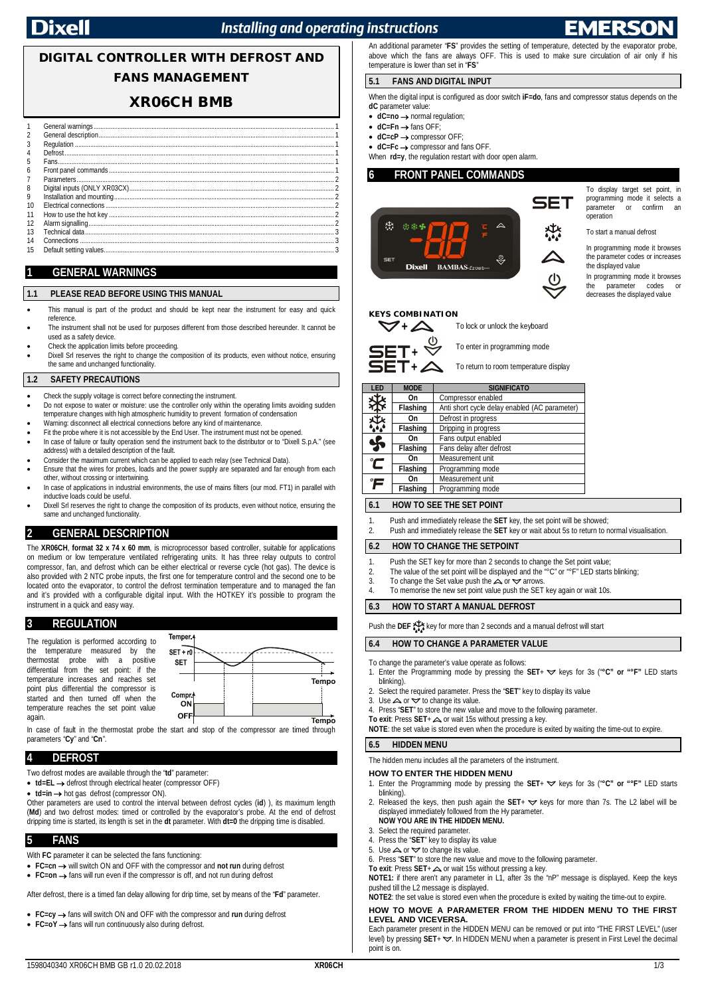## **Installing and operating instructions**

# **DIGITAL CONTROLLER WITH DEFROST AND FANS MANAGEMENT**

## **XR06CH BMB**

|    | Defrost |
|----|---------|
| 5  |         |
| 6  |         |
|    |         |
| 8  |         |
|    |         |
| 10 |         |
|    |         |
| 12 |         |
|    |         |
| 14 |         |
| 15 |         |
|    |         |

## **1 GENERAL WARNINGS**

#### **1.1 PLEASE READ BEFORE USING THIS MANUAL**

- This manual is part of the product and should be kept near the instrument for easy and quick reference.
- The instrument shall not be used for purposes different from those described hereunder. It cannot be used as a safety device.
- Check the application limits before proceeding.
- Dixell Srl reserves the right to change the composition of its products, even without notice, ensuring the same and unchanged functionality.

#### **1.2 SAFETY PRECAUTIONS**

- Check the supply voltage is correct before connecting the instrument.
- Do not expose to water or moisture: use the controller only within the operating limits avoiding sudden temperature changes with high atmospheric humidity to prevent formation of condensation
- Warning: disconnect all electrical connections before any kind of maintenance.
- Fit the probe where it is not accessible by the End User. The instrument must not be opened. In case of failure or faulty operation send the instrument back to the distributor or to "Dixell S.p.A." (see address) with a detailed description of the fault.
- Consider the maximum current which can be applied to each relay (see Technical Data).
- Ensure that the wires for probes, loads and the power supply are separated and far enough from each
- other, without crossing or intertwining. In case of applications in industrial environments, the use of mains filters (our mod. FT1) in parallel with inductive loads could be useful.
- Dixell Srl reserves the right to change the composition of its products, even without notice, ensuring the same and unchanged functionality.

#### **2 GENERAL DESCRIPTION**

The **XR06CH**, **format 32 x 74 x 60 mm**, is microprocessor based controller, suitable for applications on medium or low temperature ventilated refrigerating units. It has three relay outputs to control compressor, fan, and defrost which can be either electrical or reverse cycle (hot gas). The device is also provided with 2 NTC probe inputs, the first one for temperature control and the second one to be located onto the evaporator, to control the defrost termination temperature and to managed the fan and it's provided with a configurable digital input. With the HOTKEY it's possible to program the instrument in a quick and easy way.

#### **3 REGULATION**

The regulation is performed according to the temperature measured by the<br>thermostat probe with a positive probe with a differential from the set point: if the temperature increases and reaches set point plus differential the compressor is started and then turned off when the temperature reaches the set point value again.



In case of fault in the thermostat probe the start and stop of the compressor are timed through parameters "**Cy**" and "**Cn**".

### **4 DEFROST**

Two defrost modes are available through the "**td**" parameter:

- **td=EL →** defrost through electrical heater (compressor OFF)
- **td=in →** hot gas defrost (compressor ON).

Other parameters are used to control the interval between defrost cycles (**id**) ), its maximum length (**Md**) and two defrost modes: timed or controlled by the evaporator's probe. At the end of defrost dripping time is started, its length is set in the **dt** parameter. With **dt=0** the dripping time is disabled.

#### **5 FANS**

With **FC** parameter it can be selected the fans functioning:

- **FC=cn → will switch ON and OFF with the compressor and not run during defrost**
- **FC=on →** fans will run even if the compressor is off, and not run during defrost

After defrost, there is a timed fan delay allowing for drip time, set by means of the "**Fd**" parameter.

**FC=cy**  fans will switch ON and OFF with the compressor and **run** during defrost

**FC=oY** fans will run continuously also during defrost.

An additional parameter "**FS**" provides the setting of temperature, detected by the evaporator probe, above which the fans are always OFF. This is used to make sure circulation of air only if his temperature is lower than set in "**FS**"

#### **5.1 FANS AND DIGITAL INPUT**

When the digital input is configured as door switch **iF=do**, fans and compressor status depends on the **dC** parameter value

- dC=no → normal regulation;
- $\bullet$  **dC=Fn**  $\rightarrow$  fans OFF;
- **dC=cP** → compressor OFF;

■ **dC=Fc →** compressor and fans OFF. When **rd=y**, the regulation restart with door open alarm.

### **6 FRONT PANEL COMMANDS**



To display target set point, in programming mode it selects a parameter or confirm an operation

To start a manual defrost

In programming mode it browses the parameter codes or increases the displayed value

In programming mode it browses<br>the parameter codes or parameter codes or decreases the displayed value

#### **KEYS COMBINATION**





To enter in programming mode





| LED                               | <b>MODE</b>                                                   | <b>SIGNIFICATO</b>                            |  |
|-----------------------------------|---------------------------------------------------------------|-----------------------------------------------|--|
| 毋                                 | On                                                            | Compressor enabled                            |  |
|                                   | <b>Flashing</b>                                               | Anti short cycle delay enabled (AC parameter) |  |
| 芬                                 | Defrost in progress<br>On<br>Flashing<br>Dripping in progress |                                               |  |
|                                   |                                                               |                                               |  |
|                                   | On                                                            | Fans output enabled                           |  |
| ӄ                                 | Flashing                                                      | Fans delay after defrost                      |  |
| $\tilde{\boldsymbol{\mathsf{C}}}$ | On                                                            | Measurement unit                              |  |
|                                   | Flashing                                                      | Programming mode                              |  |
| °F                                | On                                                            | Measurement unit                              |  |
|                                   | <b>Flashing</b>                                               | Programming mode                              |  |

#### **6.1 HOW TO SEE THE SET POINT**

- 1. Push and immediately release the **SET** key, the set point will be showed;
- 2. Push and immediately release the **SET** key or wait about 5s to return to normal visualisation.

### **6.2 HOW TO CHANGE THE SETPOINT**

- 1. Push the SET key for more than 2 seconds to change the Set point value;
- 2. The value of the set point will be displayed and the  $\sqrt{\ }$ °C" or  $\sqrt{\ }$  LED starts blinking;<br>3. To change the Set value push the  $\triangle$  or  $\triangle$  arrows.
- 3. To change the Set value push the  $\triangle$  or  $\triangle$  arrows.<br>4 To memorise the new set point value push the SFT
- To memorise the new set point value push the SET key again or wait 10s.

#### **6.3 HOW TO START A MANUAL DEFROST**

Push the DEF  $\sum_{n=0}^{+\infty}$  key for more than 2 seconds and a manual defrost will start

#### **6.4 HOW TO CHANGE A PARAMETER VALUE**

- To change the parameter's value operate as follows:
- 1. Enter the Programming mode by pressing the SET+  $\blacktriangledown$  keys for 3s ("°C" or "°F" LED starts blinking).
- 2. Select the required parameter. Press the "**SET**" key to display its value 3. Use  $\blacktriangle$  or  $\blacktriangledown$  to change its value.
- Use  $\triangle$  or  $\triangle$  to change its value.
- Press "SET" to store the new value and move to the following parameter.
- **To exit:** Press  $SET + \triangle$  or wait 15s without pressing a key.
- **NOTE**: the set value is stored even when the procedure is exited by waiting the time-out to expire.

#### **6.5 HIDDEN MENU**

The hidden menu includes all the parameters of the instrument.

#### **HOW TO ENTER THE HIDDEN MENU**

- Enter the Programming mode by pressing the **SET**+  $\blacktriangledown$  keys for 3s ("°C" or "°F" LED starts blinking).
- 2. Released the keys, then push again the  $SET + \nabla$  keys for more than 7s. The L2 label will be displayed immediately followed from the Hy parameter. **NOW YOU ARE IN THE HIDDEN MENU.**
- 
- 3. Select the required parameter.<br>4 Press the "SFT" key to display
- 4. Press the "**SET**" key to display its value<br>5. Use  $\triangle$  or  $\triangle$  to change its value. Use  $\triangle$  or  $\triangledown$  to change its value.
- 6. Press "**SET**" to store the new value and move to the following parameter.
- 

**To exit**: Press **SET**+ △ or wait 15s without pressing a key.<br>**NOTE1:** if there aren't any parameter in L1, after 3s the "nP" message is displayed. Keep the keys pushed till the L2 message is displayed.

#### **NOTE2**: the set value is stored even when the procedure is exited by waiting the time-out to expire.

#### **HOW TO MOVE A PARAMETER FROM THE HIDDEN MENU TO THE FIRST LEVEL AND VICEVERSA.**

Each parameter present in the HIDDEN MENU can be removed or put into "THE FIRST LEVEL" (user level) by pressing **SET**+  $\blacktriangledown$ . In HIDDEN MENU when a parameter is present in First Level the decimal point is on.



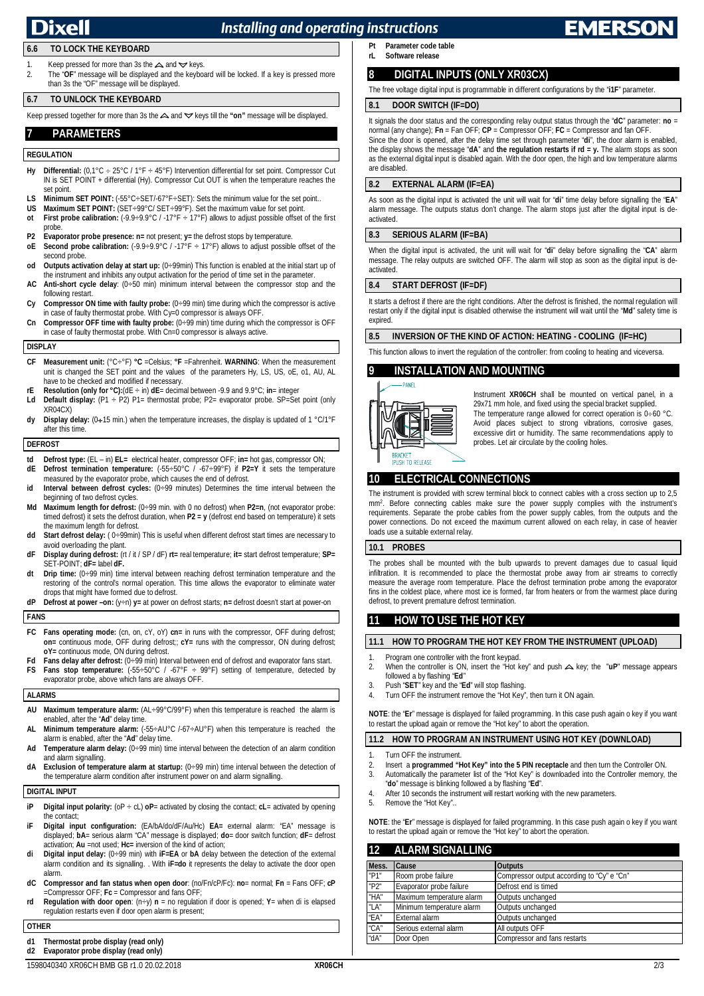## Nixell

## **Installing and operating instructions**

## **6.6 TO LOCK THE KEYBOARD**

Keep pressed for more than 3s the  $\triangle$  and  $\triangledown$  keys. 2. The "**OF**" message will be displayed and the keyboard will be locked. If a key is pressed more than 3s the "OF" message will be displayed.

### **6.7 TO UNLOCK THE KEYBOARD**

Keep pressed together for more than 3s the  $\triangle$  and  $\triangledown$  keys till the "on" message will be displayed.

## **7 PARAMETERS**

#### **REGULATION**

- Hy **Differential:**  $(0,1^{\circ}C \div 25^{\circ}C / 1^{\circ}F \div 45^{\circ}F)$  Intervention differential for set point. Compressor Cut IN is SET POINT + differential (Hy). Compressor Cut OUT is when the temperature reaches the set point.
- **LS Minimum SET POINT:** (-55°C÷SET/-67°F÷SET): Sets the minimum value for the set point...<br>**IIS Maximum SET POINT:** (SET<sub>+99</sub>°C/SET+99°F). Set the maximum value for set point.
- **US Maximum SET POINT:**  $(\text{SET} \div 99^{\circ} \text{C}/\text{SET} \div 99^{\circ} \text{F})$ . Set the maximum value for set point.<br> **of First probe calibration:**  $(9.9 \div 9^{\circ} \text{C}/\text{F} \div 17^{\circ} \text{F})$  allows to adjust possible offset
- **First probe calibration:**  $(.9.9 \div 9.9^{\circ} \text{C}$  /  $.17^{\circ} \text{F} \div 17^{\circ} \text{F}$ ) allows to adjust possible offset of the first probe.
- **P2 Evaporator probe presence: n=** not present; **y=** the defrost stops by temperature.
- **oE Second probe calibration:**  $(.9.9 \div 9.9^{\circ} \text{C}$  /  $.17^{\circ} \text{F} \div 17^{\circ} \text{F}$ ) allows to adjust possible offset of the second probe.
- **od Outputs activation delay at start up:** (0÷99min) This function is enabled at the initial start up of the instrument and inhibits any output activation for the period of time set in the parameter.
- **AC Anti-short cycle delay**: (0÷50 min) minimum interval between the compressor stop and the following restart.
- **Cy Compressor ON time with faulty probe:** (0÷99 min) time during which the compressor is active in case of faulty thermostat probe. With Cy=0 compressor is always OFF.
- **Cn Compressor OFF time with faulty probe:** (0÷99 min) time during which the compressor is OFF in case of faulty thermostat probe. With Cn=0 compressor is always active.

### **DISPLAY**

- **CF Measurement unit:** (°C÷°F) **°C** =Celsius; **°F** =Fahrenheit. **WARNING**: When the measurement unit is changed the SET point and the values of the parameters Hy, LS, US, oE, o1, AU, AL have to be checked and modified if necessary.
- **rE Resolution (only for °C):**(dE ÷ in) **dE**= decimal between -9.9 and 9.9°C; **in**= integer<br>**Ld Default display:** (P1 ÷ P2) P1= thermostat probe; P2= evaporator probe. SP=Set point (only
- XR04CX) dy Display delay: (0+15 min.) when the temperature increases, the display is updated of 1 °C/1°F after this time.

#### **DEFROST**

- td Defrost type: (EL in) EL= electrical heater, compressor OFF; in= hot gas, compressor ON;<br>dE Defrost termination temperature: (-55÷50°C / -67÷99°F) if P2=Y it sets the temperature
- measured by the evaporator probe, which causes the end of defrost. **id Interval between defrost cycles:** (0÷99 minutes) Determines the time interval between the beginning of two defrost cycles.
- **Md Maximum length for defrost:** (0÷99 min. with 0 no defrost) when **P2=n**, (not evaporator probe: timed defrost) it sets the defrost duration, when **P2 = y** (defrost end based on temperature) it sets the maximum length for defrost.
- **dd Start defrost delay:** ( 0÷99min) This is useful when different defrost start times are necessary to avoid overloading the plant.
- **dF Display during defrost:** (rt / it / SP / dF) **rt=** real temperature; **it=** start defrost temperature; **SP=** SET-POINT; **dF=** label **dF.**
- **dt Drip time:** (0÷99 min) time interval between reaching defrost termination temperature and the restoring of the control's normal operation. This time allows the evaporator to eliminate water drops that might have formed due to defrost.
- **dP Defrost at power –on:** (y÷n) **y=** at power on defrost starts; **n=** defrost doesn't start at power-on

#### **FANS**

- **FC Fans operating mode:** (cn, on, cY, oY) **cn**= in runs with the compressor, OFF during defrost; **on=** continuous mode, OFF during defrost;; **cY=** runs with the compressor, ON during defrost; **oY=** continuous mode, ON during defrost.
- Fans delay after defrost: (0÷99 min) Interval between end of defrost and evaporator fans start. **Fans stop temperature:**  $(-55 \div 50^{\circ} \text{C}$  /  $-67^{\circ} \text{F} \div 99^{\circ} \text{F})$  setting of temperature, detected by
- evaporator probe, above which fans are always OFF.

#### **ALARMS**

- **AU Maximum temperature alarm:** (AL÷99°C/99°F) when this temperature is reached the alarm is enabled, after the "**Ad**" delay time.
- **AL Minimum temperature alarm:** (-55÷AU°C /-67÷AU°F) when this temperature is reached the alarm is enabled, after the "**Ad**" delay time.
- **Ad Temperature alarm delay:** (0÷99 min) time interval between the detection of an alarm condition and alarm signalling.
- **dA Exclusion of temperature alarm at startup:** (0÷99 min) time interval between the detection of the temperature alarm condition after instrument power on and alarm signalling.

### **DIGITAL INPUT**

- **iP Digital input polarity:** (oP ÷ cL) **oP**= activated by closing the contact; **cL**= activated by opening the contact;
- **iF Digital input configuration:** (EA/bA/do/dF/Au/Hc) **EA=** external alarm: "EA" message is displayed; **bA**= serious alarm "CA" message is displayed; **do**= door switch function; **dF**= defrost activation; **Au** =not used; **Hc=** inversion of the kind of action;
- **di Digital input delay:** (0÷99 min) with **iF=EA** or **bA** delay between the detection of the external alarm condition and its signalling. . With **iF=do** it represents the delay to activate the door open alarm.
- **dC Compressor and fan status when open door**: (no/Fn/cP/Fc): **no**= normal; **Fn** = Fans OFF; **cP** =Compressor OFF; **Fc** = Compressor and fans OFF;
- **rd Regulation with door open**: (n÷y) **n** = no regulation if door is opened; **Y**= when di is elapsed regulation restarts even if door open alarm is present;

#### **OTHER**

**d1 Thermostat probe display (read only)**

**Pt Parameter code table Software release** 

## **8 DIGITAL INPUTS (ONLY XR03CX)**

The free voltage digital input is programmable in different configurations by the "**i1F**" parameter.

#### **8.1 DOOR SWITCH (IF=DO)**

It signals the door status and the corresponding relay output status through the "**dC**" parameter: **no** = normal (any change); **Fn** = Fan OFF; **CP** = Compressor OFF; **FC** = Compressor and fan OFF. Since the door is opened, after the delay time set through parameter "**di**", the door alarm is enabled, the display shows the message "**dA**" and **the regulation restarts if rd = y.** The alarm stops as soon as the external digital input is disabled again. With the door open, the high and low temperature alarms are disabled.

#### **8.2 EXTERNAL ALARM (IF=EA)**

As soon as the digital input is activated the unit will wait for "**di**" time delay before signalling the "**EA**" alarm message. The outputs status don't change. The alarm stops just after the digital input is deactivated.

#### **8.3 SERIOUS ALARM (IF=BA)**

When the digital input is activated, the unit will wait for "**di**" delay before signalling the "**CA**" alarm message. The relay outputs are switched OFF. The alarm will stop as soon as the digital input is deactivated.

#### **8.4 START DEFROST (IF=DF)**

It starts a defrost if there are the right conditions. After the defrost is finished, the normal regulation will restart only if the digital input is disabled otherwise the instrument will wait until the "**Md**" safety time is expired

#### **8.5 INVERSION OF THE KIND OF ACTION: HEATING - COOLING (IF=HC)**

This function allows to invert the regulation of the controller: from cooling to heating and viceversa.

#### **9 INSTALLATION AND MOUNTING**



Instrument **XR06CH** shall be mounted on vertical panel, in a 29x71 mm hole, and fixed using the special bracket supplied. The temperature range allowed for correct operation is  $0+60$  °C. Avoid places subject to strong vibrations, corrosive gases, excessive dirt or humidity. The same recommendations apply to probes. Let air circulate by the cooling holes.

## **10 ELECTRICAL CONNECTIONS**

The instrument is provided with screw terminal block to connect cables with a cross section up to 2,5 mm<sup>2</sup> . Before connecting cables make sure the power supply complies with the instrument's requirements. Separate the probe cables from the power supply cables, from the outputs and the power connections. Do not exceed the maximum current allowed on each relay, in case of heavier loads use a suitable external relay.

#### **10.1 PROBES**

The probes shall be mounted with the bulb upwards to prevent damages due to casual liquid infiltration. It is recommended to place the thermostat probe away from air streams to correctly measure the average room temperature. Place the defrost termination probe among the evaporator fins in the coldest place, where most ice is formed, far from heaters or from the warmest place during defrost, to prevent premature defrost termination.

#### **11 HOW TO USE THE HOT KEY**

#### **11.1 HOW TO PROGRAM THE HOT KEY FROM THE INSTRUMENT (UPLOAD)**

- 1. Program one controller with the front keypad.<br>2. When the controller is ON, insert the "Hot k
- When the controller is ON, insert the "Hot key" and push  $\triangle$  key; the "uP" message appears followed a by flashing "**Ed**"
- 3. Push "**SET**" key and the "**Ed**" will stop flashing.
- 4. Turn OFF the instrument remove the "Hot Key", then turn it ON again.

**NOTE**: the "**Er**" message is displayed for failed programming. In this case push again o key if you want to restart the upload again or remove the "Hot key" to abort the operation.

#### **11.2 HOW TO PROGRAM AN INSTRUMENT USING HOT KEY (DOWNLOAD)**

- 1. Turn OFF the instrument.
- 2. Insert a **programmed "Hot Key" into the 5 PIN receptacle** and then turn the Controller ON. 3. Automatically the parameter list of the "Hot Key" is downloaded into the Controller memory, the
- "**do**" message is blinking followed a by flashing "**Ed**". After 10 seconds the instrument will restart working with the new parameters.
- 5. Remove the "Hot Key"..

**NOTE**: the "**Er**" message is displayed for failed programming. In this case push again o key if you want to restart the upload again or remove the "Hot key" to abort the operation.

#### **12 ALARM SIGNALLING**

| Mess.     | Cause                     | <b>Outputs</b>                             |
|-----------|---------------------------|--------------------------------------------|
| "P1"      | Room probe failure        | Compressor output according to "Cy" e "Cn" |
| "P2"      | Evaporator probe failure  | Defrost end is timed                       |
| "HA"      | Maximum temperature alarm | Outputs unchanged                          |
| "LA"      | Minimum temperature alarm | Outputs unchanged                          |
| $E^*$ EA" | External alarm            | Outputs unchanged                          |
| "CA"      | Serious external alarm    | All outputs OFF                            |
| "dA"      | Door Open                 | Compressor and fans restarts               |